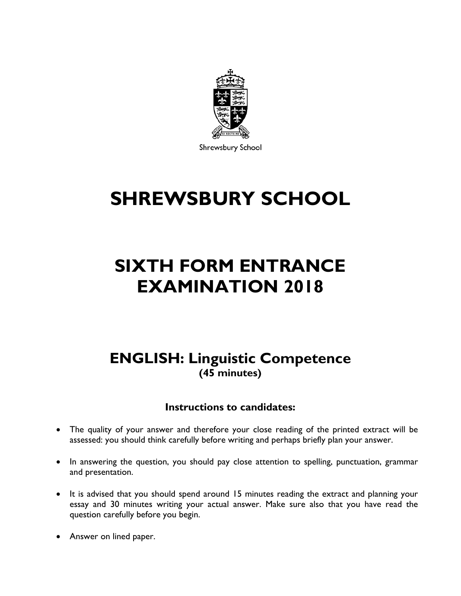

Shrewsbury School

# **SHREWSBURY SCHOOL**

## **SIXTH FORM ENTRANCE EXAMINATION 2018**

## **ENGLISH: Linguistic Competence (45 minutes)**

## **Instructions to candidates:**

- The quality of your answer and therefore your close reading of the printed extract will be assessed: you should think carefully before writing and perhaps briefly plan your answer.
- In answering the question, you should pay close attention to spelling, punctuation, grammar and presentation.
- It is advised that you should spend around 15 minutes reading the extract and planning your essay and 30 minutes writing your actual answer. Make sure also that you have read the question carefully before you begin.
- Answer on lined paper.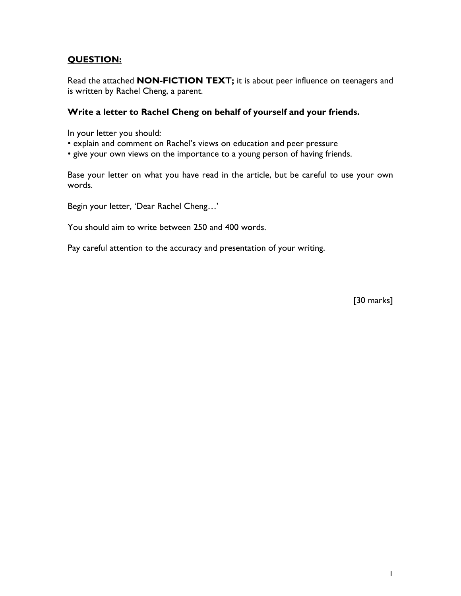### **QUESTION:**

Read the attached **NON-FICTION TEXT;** it is about peer influence on teenagers and is written by Rachel Cheng, a parent.

### **Write a letter to Rachel Cheng on behalf of yourself and your friends.**

In your letter you should:

- explain and comment on Rachel's views on education and peer pressure
- give your own views on the importance to a young person of having friends.

Base your letter on what you have read in the article, but be careful to use your own words.

Begin your letter, 'Dear Rachel Cheng…'

You should aim to write between 250 and 400 words.

Pay careful attention to the accuracy and presentation of your writing.

[30 marks]